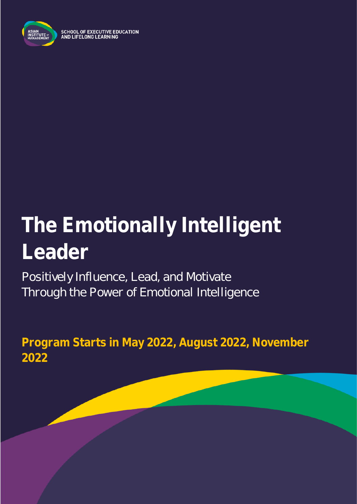

SCHOOL OF EXECUTIVE EDUCATION<br>AND LIFELONG LEARNING

# **The Emotionally Intelligent Leader**

Positively Influence, Lead, and Motivate Through the Power of Emotional Intelligence

**Program Starts in May 2022, August 2022, November 2022**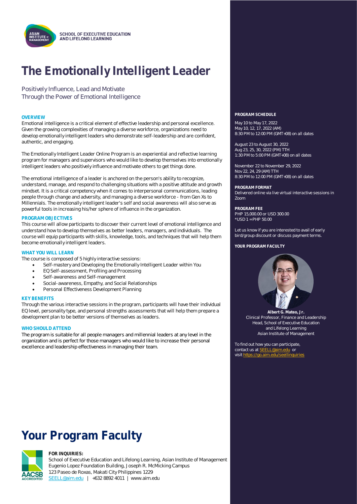

## **The Emotionally Intelligent Leader**

Positively Influence, Lead and Motivate Through the Power of Emotional Intelligence

Emotional intelligence is a critical element of effective leadership and personal excellence. Given the growing complexities of managing a diverse workforce, organizations need to develop emotionally intelligent leaders who demonstrate self-leadership and are confident, authentic, and engaging.

The Emotionally Intelligent Leader Online Program is an experiential and reflective learning program for managers and supervisors who would like to develop themselves into emotionally intelligent leaders who positively influence and motivate others to get things done.

The emotional intelligence of a leader is anchored on the person's ability to recognize, understand, manage, and respond to challenging situations with a positive attitude and growth mindset. It is a critical competency when it comes to interpersonal communications, leading people through change and adversity, and managing a diverse workforce - from Gen Xs to Millennials. The emotionally intelligent leader's self and social awareness will also serve as powerful tools in increasing his/her sphere of influence in the organization.

#### **PROGRAM OBJECTIVES**

This course will allow participants to discover their current level of emotional intelligence and understand how to develop themselves as better leaders, managers, and individuals. The course will equip participants with skills, knowledge, tools, and techniques that will help them become emotionally intelligent leaders.

### **WHAT YOU WILL LEARN**

The course is composed of 5 highly interactive sessions:

- Self-mastery and Developing the Emotionally Intelligent Leader within You
- EQ Self-assessment, Profiling and Processing
- Self-awareness and Self-management
- Social-awareness, Empathy, and Social Relationships
- Personal Effectiveness Development Planning

### **KEY BENEFITS**

Through the various interactive sessions in the program, participants will have their individual EQ level, personality type, and personal strengths assessments that will help them prepare a development plan to be better versions of themselves as leaders.

### **WHO SHOULD ATTEND**

The program is suitable for all people managers and millennial leaders at any level in the organization and is perfect for those managers who would like to increase their personal excellence and leadership effectiveness in managing their team.

### **Your Program Faculty**



#### **FOR INQUIRIES:**

School of Executive Education and Lifelong Learning, Asian Institute of Management Eugenio Lopez Foundation Building, Joseph R. McMicking Campus 123 Paseo de Roxas, Makati City Philippines 1229 [SEELL@aim.edu](mailto:SEELL@aim.edu) | +632 8892 4011 | www.aim.edu

### **OVERVIEW PROGRAM SCHEDULE**

May 10 to May 17, 2022 May 10, 12, 17, 2022 (AM) 8:30 PM to 12:00 PM (GMT+08) on all dates

August 23 to August 30, 2022 Aug 23, 25, 30, 2022 (PM) TTH 1:30 PM to 5:00 PM (GMT+08) on all dates

November 22 to November 29, 2022 Nov 22, 24, 29 (AM) TTH 8:30 PM to 12:00 PM (GMT+08) on all dates

**PROGRAM FORMAT** Delivered online via live virtual interactive sessions in Zoom

**PROGRAM FEE** PHP 15,000.00 or USD 300.00 \*USD 1 = PHP 50.00

Let us know if you are interested to avail of early bird/group discount or discuss payment terms.

YOUR PROGRAM FACULTY



**Albert G. Mateo, Jr.** Clinical Professor, Finance and Leadership Head, School of Executive Education and Lifelong Learning Asian Institute of Management

To find out how you can participate, contact us at **SEELL@aim.edu** or<br>visit https://go.aim.edu/seellingu visit https://go.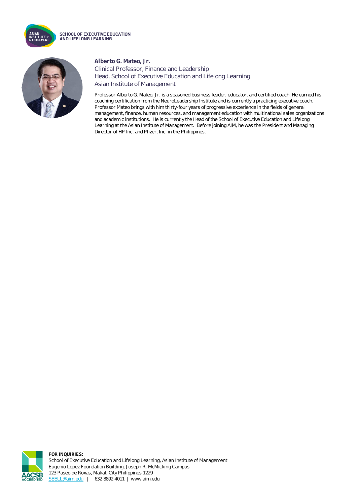

**SCHOOL OF EXECUTIVE EDUCATION** AND LIFELONG LEARNING



### **Alberto G. Mateo, Jr.**

Clinical Professor, Finance and Leadership Head, School of Executive Education and Lifelong Learning Asian Institute of Management

Professor Alberto G. Mateo, Jr. is a seasoned business leader, educator, and certified coach. He earned his coaching certification from the NeuroLeadership Institute and is currently a practicing executive coach. Professor Mateo brings with him thirty-four years of progressive experience in the fields of general management, finance, human resources, and management education with multinational sales organizations and academic institutions. He is currently the Head of the School of Executive Education and Lifelong Learning at the Asian Institute of Management. Before joining AIM, he was the President and Managing Director of HP Inc. and Pfizer, Inc. in the Philippines.



**FOR INQUIRIES:** School of Executive Education and Lifelong Learning, Asian Institute of Management Eugenio Lopez Foundation Building, Joseph R. McMicking Campus 123 Paseo de Roxas, Makati City Philippines 1229 [SEELL@aim.edu](mailto:SEELL@aim.edu) | +632 8892 4011 | www.aim.edu